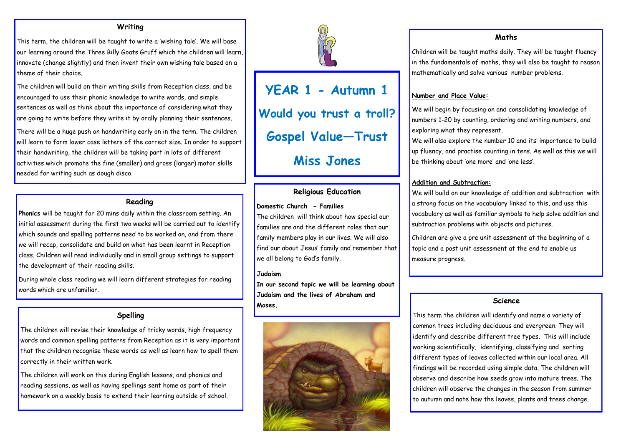**YEAR 1 - Autumn 1 Would you trust a troll? Gospel Value—Trust Miss Jones** 

### **Writing**

This term, the children will be taught to write a 'wishing tale'. We will base our learning around the Three Billy Goats Gruff which the children will learn, innovate (change slightly) and then invent their own wishing tale based on a theme of their choice.

The children will build on their writing skills from Reception class, and be encouraged to use their phonic knowledge to write words, and simple sentences as well as think about the importance of considering what they are going to write before they write it by orally planning their sentences.

There will be a huge push on handwriting early on in the term. The children will learn to form lower case letters of the correct size. In order to support their handwriting, the children will be taking part in lots of different activities which promote the fine (smaller) and gross (larger) motor skills needed for writing such as dough disco.

### **Reading**

**Phonics** will be taught for 20 mins daily within the classroom setting. An initial assessment during the first two weeks will be carried out to identify which sounds and spelling patterns need to be worked on, and from there we will recap, consolidate and build on what has been learnt in Reception class. Children will read individually and in small group settings to support the development of their reading skills.

During whole class reading we will learn different strategies for reading words which are unfamiliar.

# **Spelling**

The children will revise their knowledge of tricky words, high frequency words and common spelling patterns from Reception as it is very important that the children recognise these words as well as learn how to spell them correctly in their written work.

The children will work on this during English lessons, and phonics and reading sessions, as well as having spellings sent home as part of their homework on a weekly basis to extend their learning outside of school.



# **Religious Education**

#### **Domestic Church - Families**

The children will think about how special our families are and the different roles that our family members play in our lives. We will also find our about Jesus' family and remember that we all belong to God's family.

#### **Judaism**

**In our second topic we will be learning about Judaism and the lives of Abraham and Moses.**



# **Maths**

Children will be taught maths daily. They will be taught fluency in the fundamentals of maths, they will also be taught to reason mathematically and solve various number problems.

### **Number and Place Value:**

We will begin by focusing on and consolidating knowledge of numbers 1-20 by counting, ordering and writing numbers, and

exploring what they represent.

We will also explore the number 10 and its' importance to build up fluency, and practise counting in tens. As well as this we will be thinking about 'one more' and 'one less'.

# **Addition and Subtraction:**

We will build on our knowledge of addition and subtraction with a strong focus on the vocabulary linked to this, and use this vocabulary as well as familiar symbols to help solve addition and subtraction problems with objects and pictures.

Children are give a pre unit assessment at the beginning of a topic and a post unit assessment at the end to enable us

measure progress.

#### **Science**

This term the children will identify and name a variety of common trees including deciduous and evergreen. They will identify and describe different tree types. This will include working scientifically, identifying, classifying and sorting different types of leaves collected within our local area. All findings will be recorded using simple data. The children will observe and describe how seeds grow into mature trees. The children will observe the changes in the season from summer to autumn and note how the leaves, plants and trees change.